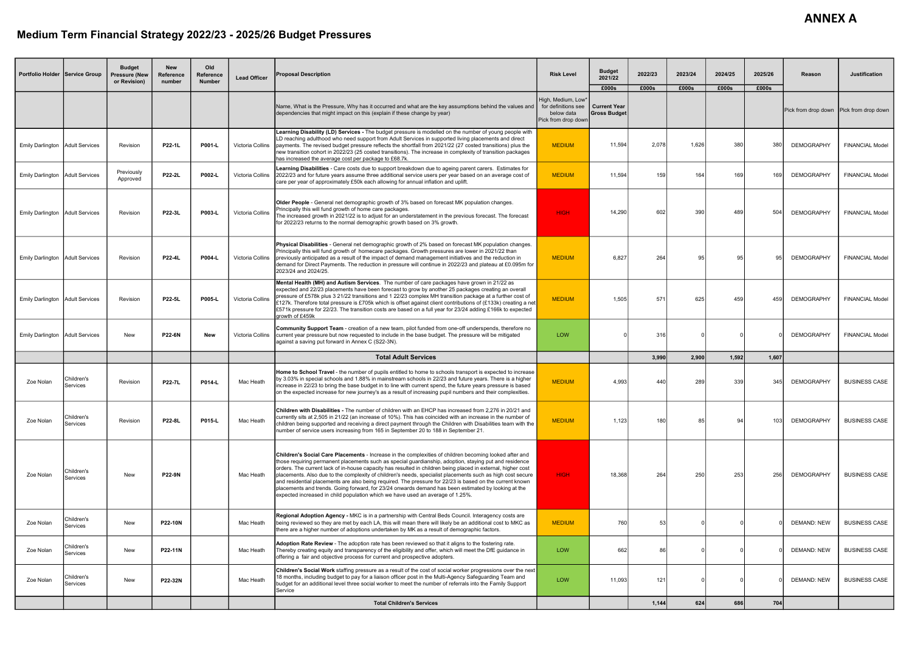## Medium Term Financial Strategy 2022/23 - 2025/26 Budget Pressures

| Portfolio Holder   Service Group       |                        | <b>Budget</b><br><b>Pressure (New</b><br>or Revision) | <b>New</b><br>Reference<br>number | Old<br>Reference<br><b>Number</b> | <b>Lead Officer</b>     | <b>Proposal Description</b>                                                                                                                                                                                                                                                                                                                                                                                                                                                                                                                                                                                                                                                                                                                                | <b>Risk Level</b>                                        | <b>Budget</b><br>2021/22                   | 2022/23 | 2023/24 | 2024/25        | 2025/26 | Reason             | <b>Justification</b>                    |
|----------------------------------------|------------------------|-------------------------------------------------------|-----------------------------------|-----------------------------------|-------------------------|------------------------------------------------------------------------------------------------------------------------------------------------------------------------------------------------------------------------------------------------------------------------------------------------------------------------------------------------------------------------------------------------------------------------------------------------------------------------------------------------------------------------------------------------------------------------------------------------------------------------------------------------------------------------------------------------------------------------------------------------------------|----------------------------------------------------------|--------------------------------------------|---------|---------|----------------|---------|--------------------|-----------------------------------------|
|                                        |                        |                                                       |                                   |                                   |                         |                                                                                                                                                                                                                                                                                                                                                                                                                                                                                                                                                                                                                                                                                                                                                            | High, Medium, Low*                                       | £000s                                      | £000s   | £000s   | £000s<br>£000s |         |                    |                                         |
|                                        |                        |                                                       |                                   |                                   |                         | Name, What is the Pressure, Why has it occurred and what are the key assumptions behind the values and<br>dependencies that might impact on this (explain if these change by year)                                                                                                                                                                                                                                                                                                                                                                                                                                                                                                                                                                         | for definitions see<br>below data<br>Pick from drop down | <b>Current Year</b><br><b>Gross Budget</b> |         |         |                |         |                    | Pick from drop down Pick from drop down |
| <b>Emily Darlington</b>                | <b>Adult Services</b>  | Revision                                              | P22-1L                            | P001-L                            |                         | Learning Disability (LD) Services - The budget pressure is modelled on the number of young people with<br>LD reaching adulthood who need support from Adult Services in supported living placements and direct<br>Victoria Collins payments. The revised budget pressure reflects the shortfall from 2021/22 (27 costed transitions) plus the<br>new transition cohort in 2022/23 (25 costed transitions). The increase in complexity of transition packages<br>has increased the average cost per package to £68.7k.                                                                                                                                                                                                                                      | <b>MEDIUM</b>                                            | 11,594                                     | 2.078   | 1.626   | 380            | 380     | <b>DEMOGRAPHY</b>  | <b>FINANCIAL Model</b>                  |
| <b>Emily Darlington</b>                | <b>Adult Services</b>  | Previously<br>Approved                                | <b>P22-2L</b>                     | P002-L                            | Victoria Collins        | Learning Disabilities - Care costs due to support breakdown due to ageing parent carers. Estimates for<br>2022/23 and for future years assume three additional service users per year based on an average cost of<br>care per year of approximately £50k each allowing for annual inflation and uplift.                                                                                                                                                                                                                                                                                                                                                                                                                                                    | <b>MEDIUM</b>                                            | 11,594                                     | 159     | 164     | 169            | 169     | <b>DEMOGRAPHY</b>  | <b>FINANCIAL Model</b>                  |
| Emily Darlington Adult Services        |                        | Revision                                              | P22-3L                            | P003-L                            | Victoria Collins        | <b>Older People</b> - General net demographic growth of 3% based on forecast MK population changes.<br>Principally this will fund growth of home care packages.<br>The increased growth in 2021/22 is to adjust for an understatement in the previous forecast. The forecast<br>for 2022/23 returns to the normal demographic growth based on 3% growth.                                                                                                                                                                                                                                                                                                                                                                                                   | <b>HIGH</b>                                              | 14.290                                     | 602     | 390     | 489            | 504     | <b>DEMOGRAPHY</b>  | <b>FINANCIAL Model</b>                  |
| <b>Emily Darlington Adult Services</b> |                        | Revision                                              | <b>P22-4L</b>                     | <b>P004-L</b>                     | Victoria Collins        | Physical Disabilities - General net demographic growth of 2% based on forecast MK population changes.<br>Principally this will fund growth of homecare packages. Growth pressures are lower in 2021/22 than<br>I previously anticipated as a result of the impact of demand management initiatives and the reduction in<br>demand for Direct Payments. The reduction in pressure will continue in 2022/23 and plateau at £0.095m for<br>2023/24 and 2024/25.                                                                                                                                                                                                                                                                                               | <b>MEDIUM</b>                                            | 6,827                                      | 264     | 95      | 95             |         | <b>DEMOGRAPHY</b>  | <b>FINANCIAL Model</b>                  |
| <b>Emily Darlington Adult Services</b> |                        | Revision                                              | <b>P22-5L</b>                     | P005-L                            | <b>Victoria Collins</b> | Mental Health (MH) and Autism Services. The number of care packages have grown in 21/22 as<br>expected and 22/23 placements have been forecast to grow by another 25 packages creating an overall<br>pressure of £578k plus 3 21/22 transitions and 1 22/23 complex MH transition package at a further cost of<br>£127k. Therefore total pressure is £705k which is offset against client contributions of (£133k) creating a net<br>£571k pressure for 22/23. The transition costs are based on a full year for 23/24 adding £166k to expected<br>arowth of £459k                                                                                                                                                                                         | <b>MEDIUM</b>                                            | 1.505                                      | 571     | 625     | 459            | 459     | <b>DEMOGRAPHY</b>  | <b>FINANCIAL Model</b>                  |
| <b>Emily Darlington</b>                | Adult Services         | <b>New</b>                                            | <b>P22-6N</b>                     | <b>New</b>                        |                         | <b>Community Support Team</b> - creation of a new team, pilot funded from one-off underspends, therefore no<br>Victoria Collins current year pressure but now requested to include in the base budget. The pressure will be mitigated<br>against a saving put forward in Annex C (S22-3N).                                                                                                                                                                                                                                                                                                                                                                                                                                                                 | <b>LOW</b>                                               |                                            | 316     |         |                |         | <b>DEMOGRAPHY</b>  | <b>FINANCIAL Model</b>                  |
|                                        |                        |                                                       |                                   |                                   |                         | <b>Total Adult Services</b>                                                                                                                                                                                                                                                                                                                                                                                                                                                                                                                                                                                                                                                                                                                                |                                                          |                                            | 3.990   | 2.900   | 1.592          | 1,607   |                    |                                         |
| Zoe Nolan                              | Children's<br>Services | Revision                                              | <b>P22-7L</b>                     | P014-L                            | Mac Heath               | Home to School Travel - the number of pupils entitled to home to schools transport is expected to increase<br>by 3.03% in special schools and 1.88% in mainstream schools in 22/23 and future years. There is a higher<br>increase in 22/23 to bring the base budget in to line with current spend, the future years pressure is based<br>on the expected increase for new journey's as a result of increasing pupil numbers and their complexities.                                                                                                                                                                                                                                                                                                       | <b>MEDIUM</b>                                            | 4.993                                      | 440     | 289     | 339            | 345     | <b>DEMOGRAPHY</b>  | <b>BUSINESS CASE</b>                    |
| Zoe Nolan                              | Children's<br>Services | Revision                                              | P22-8L                            | P015-L                            | Mac Heath               | Children with Disabilities - The number of children with an EHCP has increased from 2,276 in 20/21 and<br>currently sits at 2,505 in 21/22 (an increase of 10%). This has coincided with an increase in the number of<br>children being supported and receiving a direct payment through the Children with Disabilities team with the<br>Inumber of service users increasing from 165 in September 20 to 188 in September 21.                                                                                                                                                                                                                                                                                                                              | <b>MEDIUM</b>                                            | 1,123                                      | 180     | 85      | 94             | 103     | <b>DEMOGRAPHY</b>  | <b>BUSINESS CASE</b>                    |
| Zoe Nolan                              | Children's<br>Services | New                                                   | <b>P22-9N</b>                     |                                   | Mac Heath               | <b>Children's Social Care Placements</b> - Increase in the complexities of children becoming looked after and<br>those requiring permanent placements such as special guardianship, adoption, staying put and residence<br>orders. The current lack of in-house capacity has resulted in children being placed in external, higher cost<br>placements. Also due to the complexity of children's needs, specialist placements such as high cost secure<br>and residential placements are also being required. The pressure for 22/23 is based on the current known<br>placements and trends. Going forward, for 23/24 onwards demand has been estimated by looking at the<br>expected increased in child population which we have used an average of 1.25%. | <b>HIGH</b>                                              | 18,368                                     | 264     | 250     | 253            | 256     | <b>DEMOGRAPHY</b>  | <b>BUSINESS CASE</b>                    |
| Zoe Nolan                              | Children's<br>Services | New                                                   | <b>P22-10N</b>                    |                                   | Mac Heath               | Regional Adoption Agency - MKC is in a partnership with Central Beds Council. Interagency costs are<br>being reviewed so they are met by each LA, this will mean there will likely be an additional cost to MKC as<br>there are a higher number of adoptions undertaken by MK as a result of demographic factors.                                                                                                                                                                                                                                                                                                                                                                                                                                          | <b>MEDIUM</b>                                            | 760                                        | 53      |         |                |         | <b>DEMAND: NEW</b> | <b>BUSINESS CASE</b>                    |
| Zoe Nolan                              | Children's<br>Services | <b>New</b>                                            | P22-11N                           |                                   | Mac Heath               | Adoption Rate Review - The adoption rate has been reviewed so that it aligns to the fostering rate.<br>Thereby creating equity and transparency of the eligibility and offer, which will meet the DfE guidance in<br>offering a fair and objective process for current and prospective adopters.                                                                                                                                                                                                                                                                                                                                                                                                                                                           | <b>LOW</b>                                               | 662                                        | 86      |         |                |         | <b>DEMAND: NEW</b> | <b>BUSINESS CASE</b>                    |
| Zoe Nolan                              | Children's<br>Services | New                                                   | P22-32N                           |                                   | Mac Heath               | <b>Children's Social Work</b> staffing pressure as a result of the cost of social worker progressions over the next<br>18 months, including budget to pay for a liaison officer post in the Multi-Agency Safeguarding Team and<br>budget for an additional level three social worker to meet the number of referrals into the Family Support<br>Service                                                                                                                                                                                                                                                                                                                                                                                                    | LOW                                                      | 11,093                                     | 121     |         |                |         | <b>DEMAND: NEW</b> | <b>BUSINESS CASE</b>                    |
|                                        |                        |                                                       |                                   |                                   |                         | <b>Total Children's Services</b>                                                                                                                                                                                                                                                                                                                                                                                                                                                                                                                                                                                                                                                                                                                           |                                                          |                                            | 1,144   | 624     | 686            | 704     |                    |                                         |

## **ANNEX A**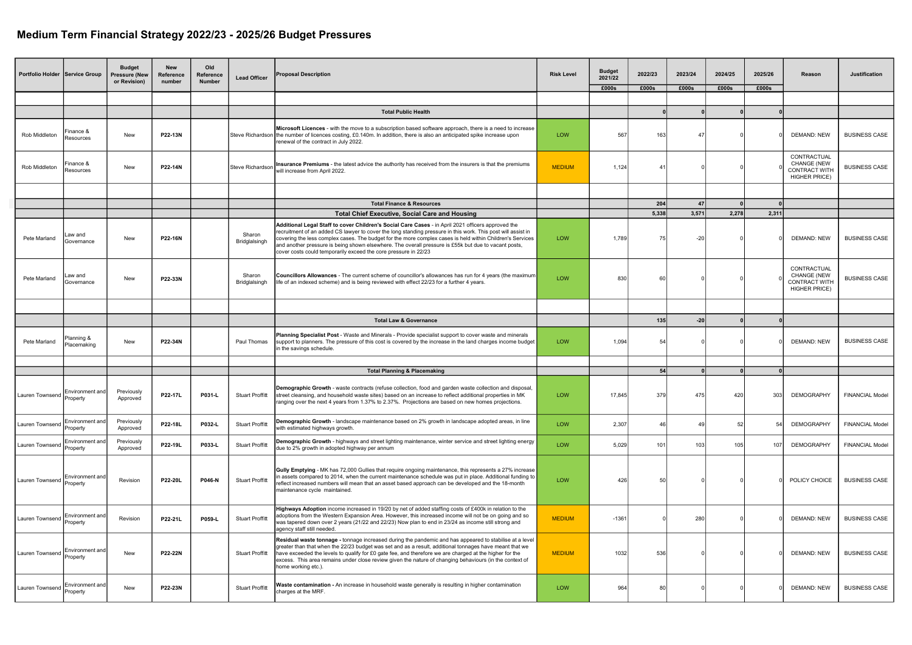## Medium Term Financial Strategy 2022/23 - 2025/26 Budget Pressures

| <b>Portfolio Holder Service Group</b> |                                    | <b>Budget</b><br><b>Pressure (New</b><br>or Revision) | <b>New</b><br>Reference<br>number | Old<br>Reference<br><b>Number</b> | <b>Lead Officer</b>                                                                                                                                                            | <b>Proposal Description</b>                                                                                                                                                                                                                                                                                                                                                                                                                                                                                | <b>Risk Level</b> | <b>Budget</b><br>2021/22 | 2022/23   | 2023/24 | 2024/25 | 2025/26                                                                           | Reason                                                                     | Justification          |
|---------------------------------------|------------------------------------|-------------------------------------------------------|-----------------------------------|-----------------------------------|--------------------------------------------------------------------------------------------------------------------------------------------------------------------------------|------------------------------------------------------------------------------------------------------------------------------------------------------------------------------------------------------------------------------------------------------------------------------------------------------------------------------------------------------------------------------------------------------------------------------------------------------------------------------------------------------------|-------------------|--------------------------|-----------|---------|---------|-----------------------------------------------------------------------------------|----------------------------------------------------------------------------|------------------------|
|                                       |                                    |                                                       |                                   |                                   |                                                                                                                                                                                |                                                                                                                                                                                                                                                                                                                                                                                                                                                                                                            |                   | £000s                    | £000s     | £000s   | £000s   | £000s                                                                             |                                                                            |                        |
|                                       |                                    |                                                       |                                   |                                   |                                                                                                                                                                                |                                                                                                                                                                                                                                                                                                                                                                                                                                                                                                            |                   |                          |           |         |         |                                                                                   |                                                                            |                        |
|                                       |                                    |                                                       |                                   |                                   |                                                                                                                                                                                | <b>Total Public Health</b>                                                                                                                                                                                                                                                                                                                                                                                                                                                                                 |                   |                          |           |         |         |                                                                                   |                                                                            |                        |
| Rob Middletor                         | inance &<br>Resources              | <b>New</b>                                            | P22-13N                           |                                   |                                                                                                                                                                                | Microsoft Licences - with the move to a subscription based software approach, there is a need to increase<br>Steve Richardson the number of licences costing, £0.140m. In addition, there is also an anticipated spike increase upon<br>renewal of the contract in July 2022.                                                                                                                                                                                                                              | LOW               | 567                      | 163       | 47      |         |                                                                                   | <b>DEMAND: NEW</b>                                                         | <b>BUSINESS CASE</b>   |
| Rob Middleton                         | inance &<br>Resources              | New                                                   | P22-14N                           |                                   | Insurance Premiums - the latest advice the authority has received from the insurers is that the premiums<br><b>MEDIUM</b><br>Steve Richardso<br>will increase from April 2022. |                                                                                                                                                                                                                                                                                                                                                                                                                                                                                                            | 1,124             | $\boldsymbol{\varDelta}$ |           |         |         | CONTRACTUAL<br><b>CHANGE (NEW</b><br><b>CONTRACT WITH</b><br><b>HIGHER PRICE)</b> | <b>BUSINESS CASE</b>                                                       |                        |
|                                       |                                    |                                                       |                                   |                                   |                                                                                                                                                                                |                                                                                                                                                                                                                                                                                                                                                                                                                                                                                                            |                   |                          |           |         |         |                                                                                   |                                                                            |                        |
|                                       |                                    |                                                       |                                   |                                   |                                                                                                                                                                                | <b>Total Finance &amp; Resources</b>                                                                                                                                                                                                                                                                                                                                                                                                                                                                       |                   |                          | 204       | 47      |         |                                                                                   |                                                                            |                        |
|                                       |                                    |                                                       |                                   |                                   |                                                                                                                                                                                | <b>Total Chief Executive, Social Care and Housing</b>                                                                                                                                                                                                                                                                                                                                                                                                                                                      |                   | 5,338                    |           | 3,571   | 2,278   | 2,311                                                                             |                                                                            |                        |
| Pete Marland                          | .aw and<br>Governance              | New                                                   | P22-16N                           |                                   | Sharon<br>Bridglalsingh                                                                                                                                                        | Additional Legal Staff to cover Children's Social Care Cases - in April 2021 officers approved the<br>recruitment of an added CS lawyer to cover the long standing pressure in this work. This post will assist in<br>covering the less complex cases. The budget for the more complex cases is held within Children's Services<br>and another pressure is being shown elsewhere. The overall pressure is £55k but due to vacant posts,<br>cover costs could temporarily exceed the core pressure in 22/23 | LOW               | 1,789                    |           | $-20$   |         |                                                                                   | <b>DEMAND: NEW</b>                                                         | <b>BUSINESS CASE</b>   |
| Pete Marland                          | .aw and<br>Governance              | New                                                   | P22-33N                           |                                   | Sharon<br>Bridglalsingh                                                                                                                                                        | Councillors Allowances - The current scheme of councillor's allowances has run for 4 years (the maximum<br>life of an indexed scheme) and is being reviewed with effect 22/23 for a further 4 years                                                                                                                                                                                                                                                                                                        | LOW               | 830                      | 60        |         |         |                                                                                   | CONTRACTUAL<br>CHANGE (NEW<br><b>CONTRACT WITH</b><br><b>HIGHER PRICE)</b> | <b>BUSINESS CASE</b>   |
|                                       |                                    |                                                       |                                   |                                   |                                                                                                                                                                                |                                                                                                                                                                                                                                                                                                                                                                                                                                                                                                            |                   |                          |           |         |         |                                                                                   |                                                                            |                        |
|                                       |                                    |                                                       |                                   |                                   |                                                                                                                                                                                | <b>Total Law &amp; Governance</b>                                                                                                                                                                                                                                                                                                                                                                                                                                                                          |                   |                          | 135       | $-20$   |         |                                                                                   |                                                                            |                        |
| Pete Marland                          | Planning &<br>Placemaking          | New                                                   | P22-34N                           |                                   | Paul Thomas                                                                                                                                                                    | <b>Planning Specialist Post</b> - Waste and Minerals - Provide specialist support to cover waste and minerals<br>support to planners. The pressure of this cost is covered by the increase in the land charges income budget<br>in the savings schedule.                                                                                                                                                                                                                                                   | LOW               | 1,094                    |           |         |         |                                                                                   | <b>DEMAND: NEW</b>                                                         | <b>BUSINESS CASE</b>   |
|                                       |                                    |                                                       |                                   |                                   |                                                                                                                                                                                |                                                                                                                                                                                                                                                                                                                                                                                                                                                                                                            |                   |                          |           |         |         |                                                                                   |                                                                            |                        |
|                                       |                                    |                                                       |                                   |                                   |                                                                                                                                                                                | <b>Total Planning &amp; Placemaking</b>                                                                                                                                                                                                                                                                                                                                                                                                                                                                    |                   |                          | 54        |         |         |                                                                                   |                                                                            |                        |
| Lauren Townsend                       | Environment and<br>Property        | Previously<br>Approved                                | P22-17L                           | P031-L                            | <b>Stuart Proffitt</b>                                                                                                                                                         | Demographic Growth - waste contracts (refuse collection, food and garden waste collection and disposal,<br>street cleansing, and household waste sites) based on an increase to reflect additional properties in MK<br>ranging over the next 4 years from 1.37% to 2.37%. Projections are based on new homes projections.                                                                                                                                                                                  | LOW               | 17,845                   | 379       | 475     | 420     | 303                                                                               | <b>DEMOGRAPHY</b>                                                          | <b>FINANCIAL Model</b> |
| Lauren Townsend                       | Environment an<br>Property         | Previously<br>Approved                                | P22-18L                           | P032-L                            | <b>Stuart Proffitt</b>                                                                                                                                                         | Demographic Growth - landscape maintenance based on 2% growth in landscape adopted areas, in line<br>with estimated highways growth.                                                                                                                                                                                                                                                                                                                                                                       | LOW               | 2,307                    | $\Delta$  | 49      | 52      | 54                                                                                | <b>DEMOGRAPHY</b>                                                          | <b>FINANCIAL Model</b> |
| Lauren Townsend                       | Environment an<br>Property         | Previously<br>Approved                                | P22-19L                           | P033-L                            | <b>Stuart Proffitt</b>                                                                                                                                                         | Demographic Growth - highways and street lighting maintenance, winter service and street lighting energy<br>due to 2% growth in adopted highway per annum                                                                                                                                                                                                                                                                                                                                                  | LOW               | 5,029                    | 101       | 103     | 105     | 107                                                                               | <b>DEMOGRAPHY</b>                                                          | <b>FINANCIAL Model</b> |
| Lauren Townsend                       | ∣Environment an<br>Property        | Revision                                              | P22-20L                           | P046-N                            | <b>Stuart Proffitt</b>                                                                                                                                                         | Gully Emptying - MK has 72,000 Gullies that require ongoing maintenance, this represents a 27% increase<br>in assets compared to 2014, when the current maintenance schedule was put in place. Additional funding to<br>reflect increased numbers will mean that an asset based approach can be developed and the 18-month<br>maintenance cycle maintained.                                                                                                                                                | LOW               | 426                      | $50 - 50$ |         |         |                                                                                   | POLICY CHOICE                                                              | <b>BUSINESS CASE</b>   |
| Lauren Townsend                       | <b>Environment</b> and<br>Property | Revision                                              | P22-21L                           | P059-L                            | <b>Stuart Proffitt</b>                                                                                                                                                         | Highways Adoption income increased in 19/20 by net of added staffing costs of £400k in relation to the<br>adoptions from the Western Expansion Area. However, this increased income will not be on going and so<br>was tapered down over 2 years (21/22 and 22/23) Now plan to end in 23/24 as income still strong and<br>agency staff still needed.                                                                                                                                                       | <b>MEDIUM</b>     | $-1361$                  |           | 280     |         |                                                                                   | <b>DEMAND: NEW</b>                                                         | <b>BUSINESS CASE</b>   |
| Lauren Townsend                       | Environment an<br>Property         | New                                                   | <b>P22-22N</b>                    |                                   | <b>Stuart Proffitt</b>                                                                                                                                                         | Residual waste tonnage - tonnage increased during the pandemic and has appeared to stabilise at a level<br>greater than that when the 22/23 budget was set and as a result, additional tonnages have meant that we<br>have exceeded the levels to qualify for £0 gate fee, and therefore we are charged at the higher for the<br>excess. This area remains under close review given the nature of changing behaviours (in the context of<br>home working etc.).                                            | <b>MEDIUM</b>     | 1032                     | 536       |         |         |                                                                                   | <b>DEMAND: NEW</b>                                                         | <b>BUSINESS CASE</b>   |
| Lauren Townsend                       | Environment and<br>Property        | New                                                   | P22-23N                           |                                   | <b>Stuart Proffitt</b>                                                                                                                                                         | Waste contamination - An increase in household waste generally is resulting in higher contamination<br>charges at the MRF.                                                                                                                                                                                                                                                                                                                                                                                 | LOW               | 964                      |           |         |         |                                                                                   | <b>DEMAND: NEW</b>                                                         | <b>BUSINESS CASE</b>   |